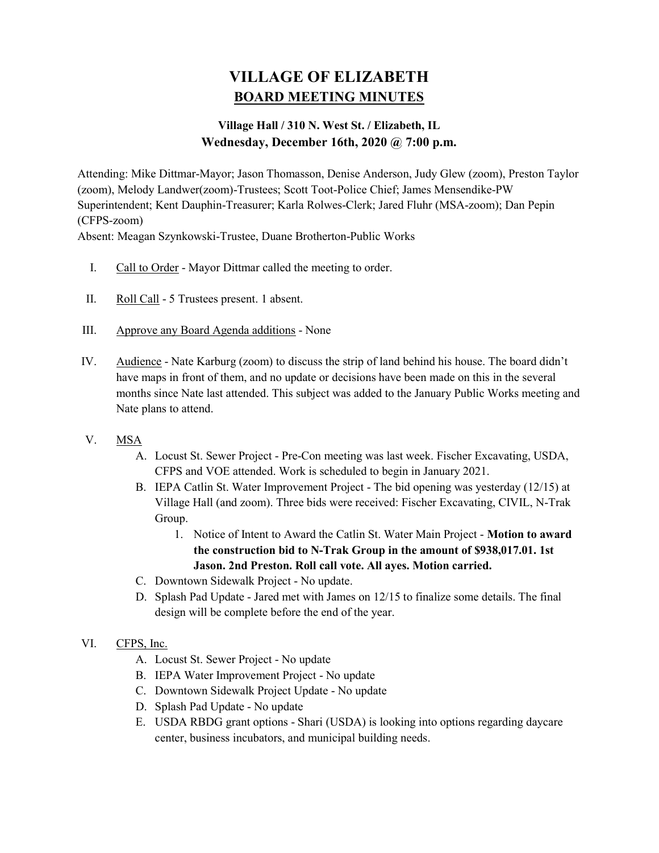# VILLAGE OF ELIZABETH BOARD MEETING MINUTES

# Village Hall / 310 N. West St. / Elizabeth, IL Wednesday, December 16th, 2020 @ 7:00 p.m.

Attending: Mike Dittmar-Mayor; Jason Thomasson, Denise Anderson, Judy Glew (zoom), Preston Taylor (zoom), Melody Landwer(zoom)-Trustees; Scott Toot-Police Chief; James Mensendike-PW Superintendent; Kent Dauphin-Treasurer; Karla Rolwes-Clerk; Jared Fluhr (MSA-zoom); Dan Pepin (CFPS-zoom)

Absent: Meagan Szynkowski-Trustee, Duane Brotherton-Public Works

- I. Call to Order Mayor Dittmar called the meeting to order.
- II. Roll Call 5 Trustees present. 1 absent.
- III. Approve any Board Agenda additions None
- IV. Audience Nate Karburg (zoom) to discuss the strip of land behind his house. The board didn't have maps in front of them, and no update or decisions have been made on this in the several months since Nate last attended. This subject was added to the January Public Works meeting and Nate plans to attend.
- V. MSA
	- A. Locust St. Sewer Project Pre-Con meeting was last week. Fischer Excavating, USDA, CFPS and VOE attended. Work is scheduled to begin in January 2021.
	- B. IEPA Catlin St. Water Improvement Project The bid opening was yesterday (12/15) at Village Hall (and zoom). Three bids were received: Fischer Excavating, CIVIL, N-Trak Group.
		- 1. Notice of Intent to Award the Catlin St. Water Main Project Motion to award the construction bid to N-Trak Group in the amount of \$938,017.01. 1st Jason. 2nd Preston. Roll call vote. All ayes. Motion carried.
	- C. Downtown Sidewalk Project No update.
	- D. Splash Pad Update Jared met with James on 12/15 to finalize some details. The final design will be complete before the end of the year.
- VI. CFPS, Inc.
	- A. Locust St. Sewer Project No update
	- B. IEPA Water Improvement Project No update
	- C. Downtown Sidewalk Project Update No update
	- D. Splash Pad Update No update
	- E. USDA RBDG grant options Shari (USDA) is looking into options regarding daycare center, business incubators, and municipal building needs.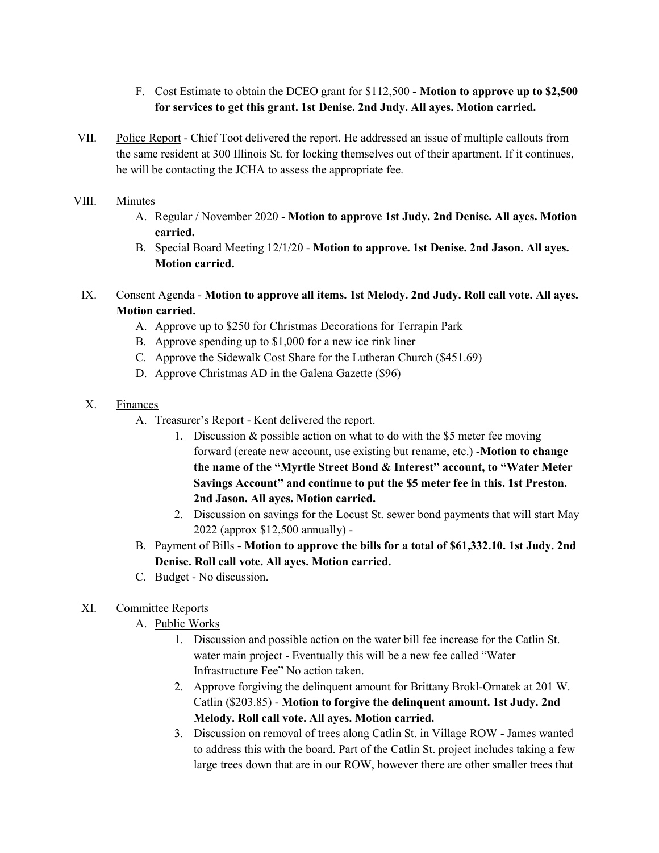- F. Cost Estimate to obtain the DCEO grant for \$112,500 Motion to approve up to \$2,500 for services to get this grant. 1st Denise. 2nd Judy. All ayes. Motion carried.
- VII. Police Report Chief Toot delivered the report. He addressed an issue of multiple callouts from the same resident at 300 Illinois St. for locking themselves out of their apartment. If it continues, he will be contacting the JCHA to assess the appropriate fee.

#### VIII. Minutes

- A. Regular / November 2020 Motion to approve 1st Judy. 2nd Denise. All ayes. Motion carried.
- B. Special Board Meeting 12/1/20 Motion to approve. 1st Denise. 2nd Jason. All ayes. Motion carried.

# IX. Consent Agenda - Motion to approve all items. 1st Melody. 2nd Judy. Roll call vote. All ayes. Motion carried.

- A. Approve up to \$250 for Christmas Decorations for Terrapin Park
- B. Approve spending up to \$1,000 for a new ice rink liner
- C. Approve the Sidewalk Cost Share for the Lutheran Church (\$451.69)
- D. Approve Christmas AD in the Galena Gazette (\$96)
- X. Finances
	- A. Treasurer's Report Kent delivered the report.
		- 1. Discussion & possible action on what to do with the \$5 meter fee moving forward (create new account, use existing but rename, etc.) -Motion to change the name of the "Myrtle Street Bond & Interest" account, to "Water Meter Savings Account" and continue to put the \$5 meter fee in this. 1st Preston. 2nd Jason. All ayes. Motion carried.
		- 2. Discussion on savings for the Locust St. sewer bond payments that will start May 2022 (approx \$12,500 annually) -
	- B. Payment of Bills Motion to approve the bills for a total of \$61,332.10. 1st Judy. 2nd Denise. Roll call vote. All ayes. Motion carried.
	- C. Budget No discussion.

## XI. Committee Reports

- A. Public Works
	- 1. Discussion and possible action on the water bill fee increase for the Catlin St. water main project - Eventually this will be a new fee called "Water Infrastructure Fee" No action taken.
	- 2. Approve forgiving the delinquent amount for Brittany Brokl-Ornatek at 201 W. Catlin (\$203.85) - Motion to forgive the delinquent amount. 1st Judy. 2nd Melody. Roll call vote. All ayes. Motion carried.
	- 3. Discussion on removal of trees along Catlin St. in Village ROW James wanted to address this with the board. Part of the Catlin St. project includes taking a few large trees down that are in our ROW, however there are other smaller trees that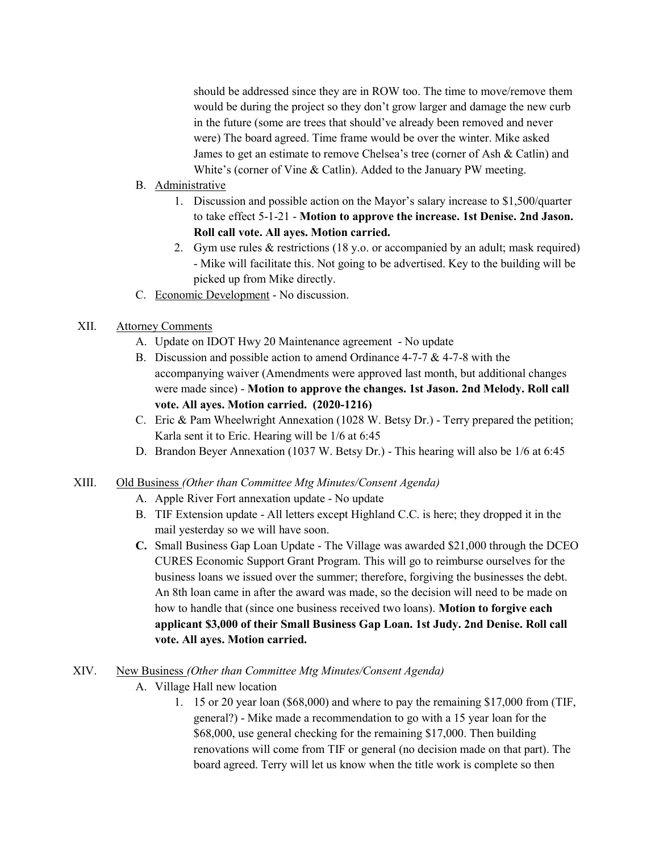should be addressed since they are in ROW too. The time to move/remove them would be during the project so they don't grow larger and damage the new curb in the future (some are trees that should've already been removed and never were) The board agreed. Time frame would be over the winter. Mike asked James to get an estimate to remove Chelsea's tree (corner of Ash & Catlin) and White's (corner of Vine & Catlin). Added to the January PW meeting.

#### B. Administrative

- 1. Discussion and possible action on the Mayor's salary increase to \$1,500/quarter to take effect 5-1-21 - Motion to approve the increase. 1st Denise. 2nd Jason. Roll call vote. All ayes. Motion carried.
- 2. Gym use rules & restrictions (18 y.o. or accompanied by an adult; mask required) - Mike will facilitate this. Not going to be advertised. Key to the building will be picked up from Mike directly.
- C. Economic Development No discussion.

## XII. Attorney Comments

- A. Update on IDOT Hwy 20 Maintenance agreement No update
- B. Discussion and possible action to amend Ordinance 4-7-7 & 4-7-8 with the accompanying waiver (Amendments were approved last month, but additional changes were made since) - Motion to approve the changes. 1st Jason. 2nd Melody. Roll call vote. All ayes. Motion carried. (2020-1216)
- C. Eric & Pam Wheelwright Annexation (1028 W. Betsy Dr.) Terry prepared the petition; Karla sent it to Eric. Hearing will be 1/6 at 6:45
- D. Brandon Beyer Annexation (1037 W. Betsy Dr.) This hearing will also be 1/6 at 6:45

#### XIII. Old Business (Other than Committee Mtg Minutes/Consent Agenda)

- A. Apple River Fort annexation update No update
- B. TIF Extension update All letters except Highland C.C. is here; they dropped it in the mail yesterday so we will have soon.
- C. Small Business Gap Loan Update The Village was awarded \$21,000 through the DCEO CURES Economic Support Grant Program. This will go to reimburse ourselves for the business loans we issued over the summer; therefore, forgiving the businesses the debt. An 8th loan came in after the award was made, so the decision will need to be made on how to handle that (since one business received two loans). **Motion to forgive each** applicant \$3,000 of their Small Business Gap Loan. 1st Judy. 2nd Denise. Roll call vote. All ayes. Motion carried.

#### XIV. New Business (Other than Committee Mtg Minutes/Consent Agenda)

- A. Village Hall new location
	- 1. 15 or 20 year loan (\$68,000) and where to pay the remaining \$17,000 from (TIF, general?) - Mike made a recommendation to go with a 15 year loan for the \$68,000, use general checking for the remaining \$17,000. Then building renovations will come from TIF or general (no decision made on that part). The board agreed. Terry will let us know when the title work is complete so then